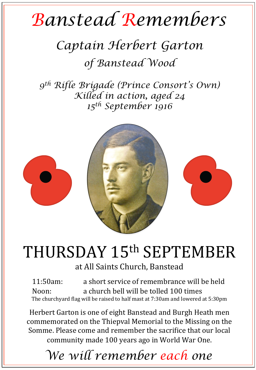# *Banstead Remembers*

### *Captain Herbert Garton of Banstead Wood*

*9th Rifle Brigade (Prince Consort's Own) Killed in action, aged 24 15th September 1916* 



## THURSDAY 15th SEPTEMBER

#### at All Saints Church, Banstead

11:50am: a short service of remembrance will be held Noon: a church bell will be tolled 100 times The churchyard flag will be raised to half mast at  $7:30$ am and lowered at  $5:30$ pm

Herbert Garton is one of eight Banstead and Burgh Heath men commemorated on the Thiepval Memorial to the Missing on the Somme. Please come and remember the sacrifice that our local community made 100 years ago in World War One.

*We will remember each one*